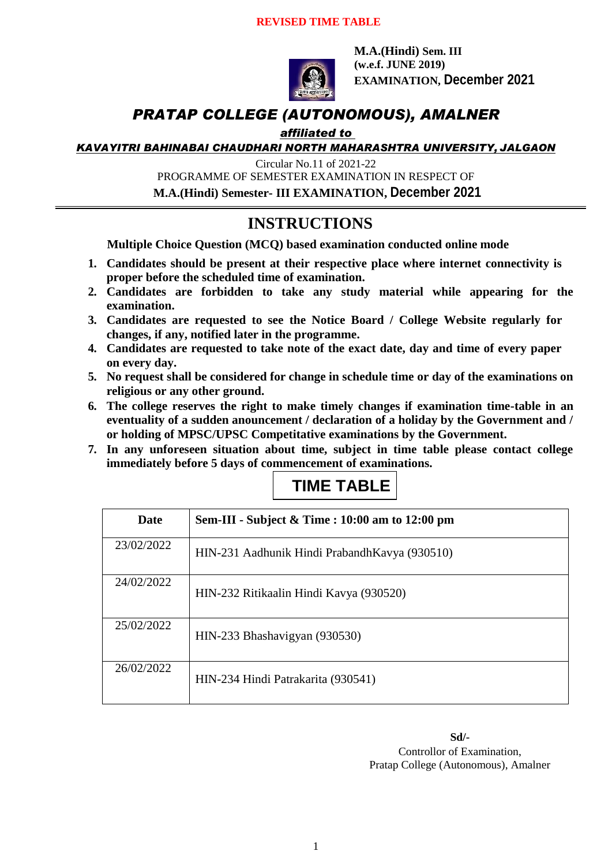

**M.A.(Hindi) Sem. III (w.e.f. JUNE 2019) EXAMINATION, December 2021**

### *PRATAP COLLEGE (AUTONOMOUS), AMALNER*

### *affiliated to*

*KAVAYITRI BAHINABAI CHAUDHARI NORTH MAHARASHTRA UNIVERSITY, JALGAON*

Circular No.11 of 2021-22

PROGRAMME OF SEMESTER EXAMINATION IN RESPECT OF

**M.A.(Hindi) Semester- III EXAMINATION, December 2021**

### **INSTRUCTIONS**

**Multiple Choice Question (MCQ) based examination conducted online mode**

- **1. Candidates should be present at their respective place where internet connectivity is proper before the scheduled time of examination.**
- **2. Candidates are forbidden to take any study material while appearing for the examination.**
- **3. Candidates are requested to see the Notice Board / College Website regularly for changes, if any, notified later in the programme.**
- **4. Candidates are requested to take note of the exact date, day and time of every paper on every day.**
- **5. No request shall be considered for change in schedule time or day of the examinations on religious or any other ground.**
- **6. The college reserves the right to make timely changes if examination time-table in an eventuality of a sudden anouncement / declaration of a holiday by the Government and / or holding of MPSC/UPSC Competitative examinations by the Government.**
- **7. In any unforeseen situation about time, subject in time table please contact college immediately before 5 days of commencement of examinations.**



| <b>Date</b> | Sem-III - Subject & Time : 10:00 am to 12:00 pm |
|-------------|-------------------------------------------------|
| 23/02/2022  | HIN-231 Aadhunik Hindi Prabandh Kavya (930510)  |
| 24/02/2022  | HIN-232 Ritikaalin Hindi Kavya (930520)         |
| 25/02/2022  | HIN-233 Bhashavigyan (930530)                   |
| 26/02/2022  | HIN-234 Hindi Patrakarita (930541)              |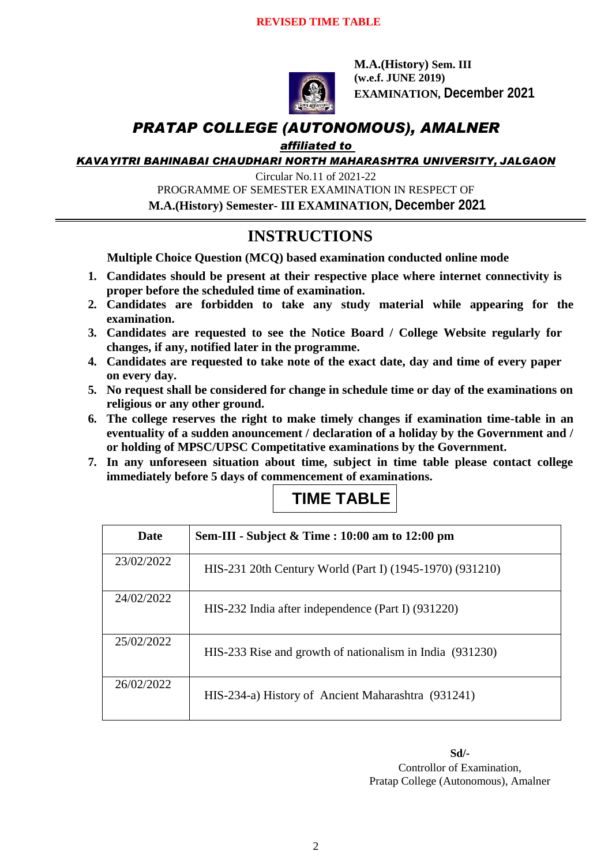

**M.A.(History) Sem. III (w.e.f. JUNE 2019) EXAMINATION, December 2021**

### *PRATAP COLLEGE (AUTONOMOUS), AMALNER*

#### *affiliated to*

*KAVAYITRI BAHINABAI CHAUDHARI NORTH MAHARASHTRA UNIVERSITY, JALGAON*

Circular No.11 of 2021-22 PROGRAMME OF SEMESTER EXAMINATION IN RESPECT OF **M.A.(History) Semester- III EXAMINATION, December 2021**

## **INSTRUCTIONS**

**Multiple Choice Question (MCQ) based examination conducted online mode**

- **1. Candidates should be present at their respective place where internet connectivity is proper before the scheduled time of examination.**
- **2. Candidates are forbidden to take any study material while appearing for the examination.**
- **3. Candidates are requested to see the Notice Board / College Website regularly for changes, if any, notified later in the programme.**
- **4. Candidates are requested to take note of the exact date, day and time of every paper on every day.**
- **5. No request shall be considered for change in schedule time or day of the examinations on religious or any other ground.**
- **6. The college reserves the right to make timely changes if examination time-table in an eventuality of a sudden anouncement / declaration of a holiday by the Government and / or holding of MPSC/UPSC Competitative examinations by the Government.**
- **7. In any unforeseen situation about time, subject in time table please contact college immediately before 5 days of commencement of examinations.**

## **TIME TABLE**

| Date       | Sem-III - Subject & Time : 10:00 am to 12:00 pm          |
|------------|----------------------------------------------------------|
| 23/02/2022 | HIS-231 20th Century World (Part I) (1945-1970) (931210) |
| 24/02/2022 | HIS-232 India after independence (Part I) (931220)       |
| 25/02/2022 | HIS-233 Rise and growth of nationalism in India (931230) |
| 26/02/2022 | HIS-234-a) History of Ancient Maharashtra (931241)       |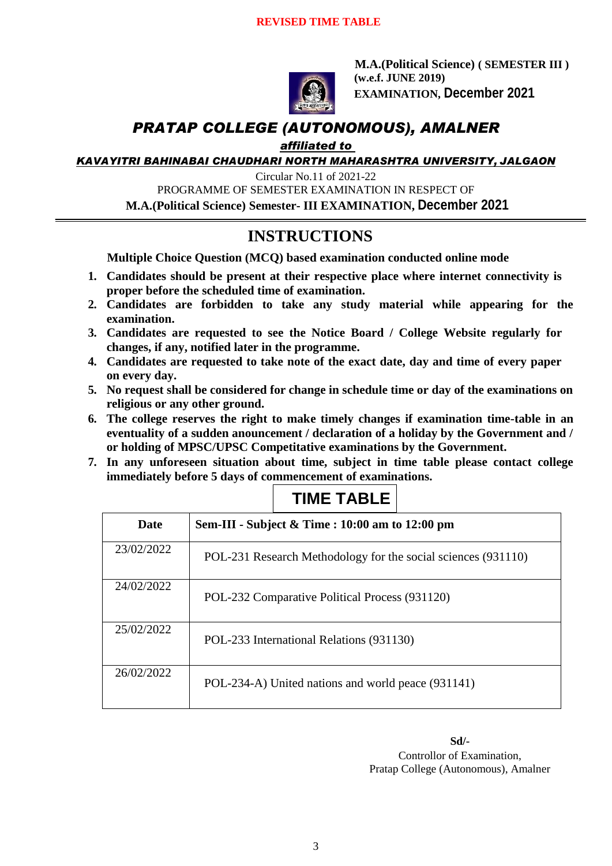

**M.A.(Political Science) ( SEMESTER III ) (w.e.f. JUNE 2019) EXAMINATION, December 2021**

### *PRATAP COLLEGE (AUTONOMOUS), AMALNER*

#### *affiliated to*

*KAVAYITRI BAHINABAI CHAUDHARI NORTH MAHARASHTRA UNIVERSITY, JALGAON*

Circular No.11 of 2021-22

PROGRAMME OF SEMESTER EXAMINATION IN RESPECT OF

**M.A.(Political Science) Semester- III EXAMINATION, December 2021**

## **INSTRUCTIONS**

**Multiple Choice Question (MCQ) based examination conducted online mode**

- **1. Candidates should be present at their respective place where internet connectivity is proper before the scheduled time of examination.**
- **2. Candidates are forbidden to take any study material while appearing for the examination.**
- **3. Candidates are requested to see the Notice Board / College Website regularly for changes, if any, notified later in the programme.**
- **4. Candidates are requested to take note of the exact date, day and time of every paper on every day.**
- **5. No request shall be considered for change in schedule time or day of the examinations on religious or any other ground.**
- **6. The college reserves the right to make timely changes if examination time-table in an eventuality of a sudden anouncement / declaration of a holiday by the Government and / or holding of MPSC/UPSC Competitative examinations by the Government.**
- **7. In any unforeseen situation about time, subject in time table please contact college immediately before 5 days of commencement of examinations.**

| Date       | Sem-III - Subject & Time : 10:00 am to 12:00 pm               |
|------------|---------------------------------------------------------------|
| 23/02/2022 | POL-231 Research Methodology for the social sciences (931110) |
| 24/02/2022 | POL-232 Comparative Political Process (931120)                |
| 25/02/2022 | POL-233 International Relations (931130)                      |
| 26/02/2022 | POL-234-A) United nations and world peace (931141)            |

## **TIME TABLE**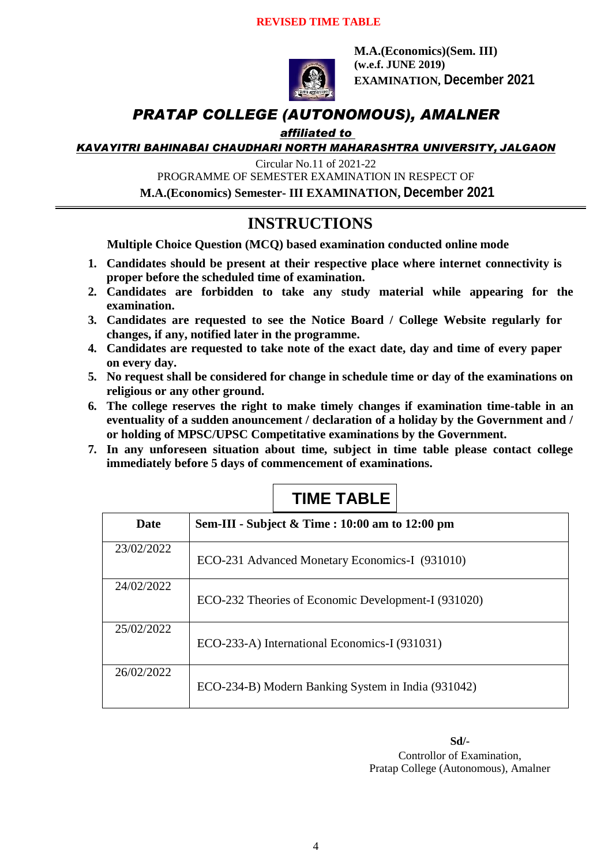

**M.A.(Economics)(Sem. III) (w.e.f. JUNE 2019) EXAMINATION, December 2021**

### *PRATAP COLLEGE (AUTONOMOUS), AMALNER*

### *affiliated to*

*KAVAYITRI BAHINABAI CHAUDHARI NORTH MAHARASHTRA UNIVERSITY, JALGAON*

Circular No.11 of 2021-22

PROGRAMME OF SEMESTER EXAMINATION IN RESPECT OF

**M.A.(Economics) Semester- III EXAMINATION, December 2021**

### **INSTRUCTIONS**

**Multiple Choice Question (MCQ) based examination conducted online mode**

- **1. Candidates should be present at their respective place where internet connectivity is proper before the scheduled time of examination.**
- **2. Candidates are forbidden to take any study material while appearing for the examination.**
- **3. Candidates are requested to see the Notice Board / College Website regularly for changes, if any, notified later in the programme.**
- **4. Candidates are requested to take note of the exact date, day and time of every paper on every day.**
- **5. No request shall be considered for change in schedule time or day of the examinations on religious or any other ground.**
- **6. The college reserves the right to make timely changes if examination time-table in an eventuality of a sudden anouncement / declaration of a holiday by the Government and / or holding of MPSC/UPSC Competitative examinations by the Government.**
- **7. In any unforeseen situation about time, subject in time table please contact college immediately before 5 days of commencement of examinations.**

# **TIME TABLE**

| Date       | Sem-III - Subject & Time : 10:00 am to 12:00 pm     |
|------------|-----------------------------------------------------|
| 23/02/2022 | ECO-231 Advanced Monetary Economics-I (931010)      |
| 24/02/2022 | ECO-232 Theories of Economic Development-I (931020) |
| 25/02/2022 | ECO-233-A) International Economics-I (931031)       |
| 26/02/2022 | ECO-234-B) Modern Banking System in India (931042)  |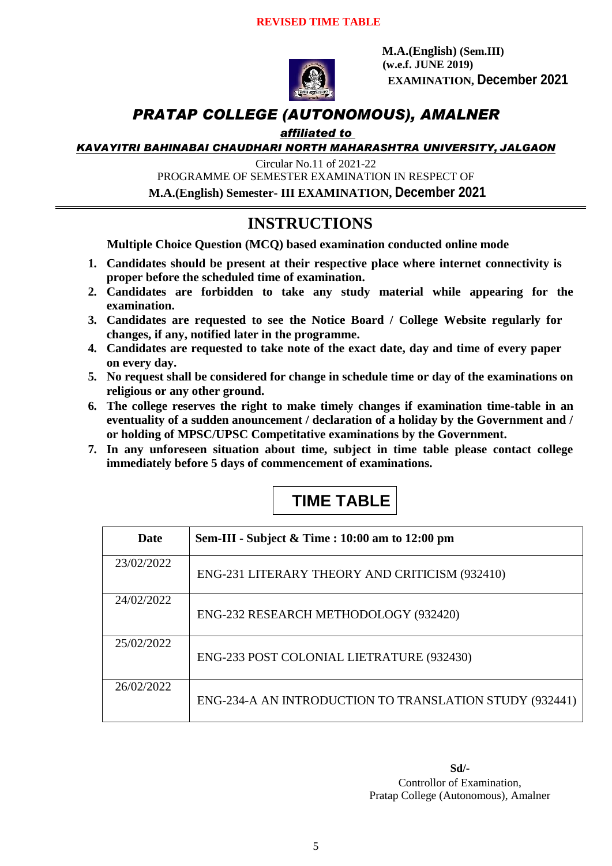

 **M.A.(English) (Sem.III) (w.e.f. JUNE 2019) EXAMINATION, December 2021**

### *PRATAP COLLEGE (AUTONOMOUS), AMALNER*

### *affiliated to*

*KAVAYITRI BAHINABAI CHAUDHARI NORTH MAHARASHTRA UNIVERSITY, JALGAON*

Circular No.11 of 2021-22

PROGRAMME OF SEMESTER EXAMINATION IN RESPECT OF

**M.A.(English) Semester- III EXAMINATION, December 2021**

### **INSTRUCTIONS**

**Multiple Choice Question (MCQ) based examination conducted online mode**

- **1. Candidates should be present at their respective place where internet connectivity is proper before the scheduled time of examination.**
- **2. Candidates are forbidden to take any study material while appearing for the examination.**
- **3. Candidates are requested to see the Notice Board / College Website regularly for changes, if any, notified later in the programme.**
- **4. Candidates are requested to take note of the exact date, day and time of every paper on every day.**
- **5. No request shall be considered for change in schedule time or day of the examinations on religious or any other ground.**
- **6. The college reserves the right to make timely changes if examination time-table in an eventuality of a sudden anouncement / declaration of a holiday by the Government and / or holding of MPSC/UPSC Competitative examinations by the Government.**
- **7. In any unforeseen situation about time, subject in time table please contact college immediately before 5 days of commencement of examinations.**

# **TIME TABLE**

| Date       | Sem-III - Subject & Time : 10:00 am to 12:00 pm         |
|------------|---------------------------------------------------------|
| 23/02/2022 | ENG-231 LITERARY THEORY AND CRITICISM (932410)          |
| 24/02/2022 | ENG-232 RESEARCH METHODOLOGY (932420)                   |
| 25/02/2022 | ENG-233 POST COLONIAL LIETRATURE (932430)               |
| 26/02/2022 | ENG-234-A AN INTRODUCTION TO TRANSLATION STUDY (932441) |